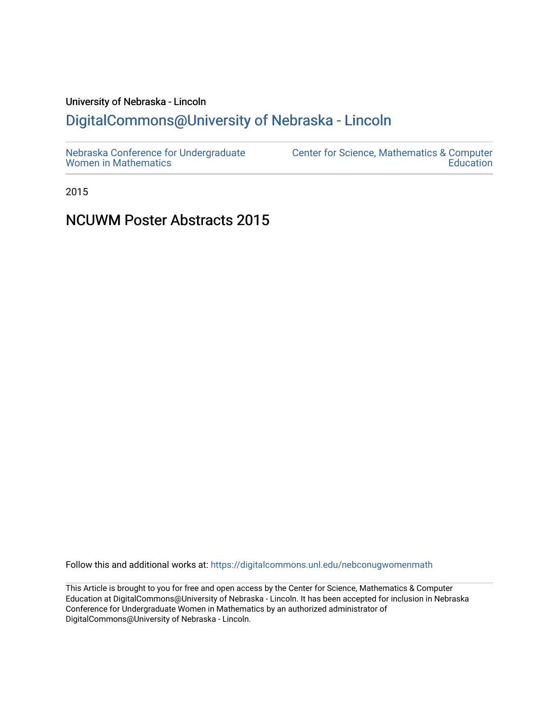# University of Nebraska - Lincoln

# [DigitalCommons@University of Nebraska - Lincoln](https://digitalcommons.unl.edu/)

2015

# NCUWM Poster Abstracts 2015

Follow this and additional works at: [https://digitalcommons.unl.edu/nebconugwomenmath](https://digitalcommons.unl.edu/nebconugwomenmath?utm_source=digitalcommons.unl.edu%2Fnebconugwomenmath%2F19&utm_medium=PDF&utm_campaign=PDFCoverPages)

This Article is brought to you for free and open access by the Center for Science, Mathematics & Computer Education at DigitalCommons@University of Nebraska - Lincoln. It has been accepted for inclusion in Nebraska Conference for Undergraduate Women in Mathematics by an authorized administrator of DigitalCommons@University of Nebraska - Lincoln.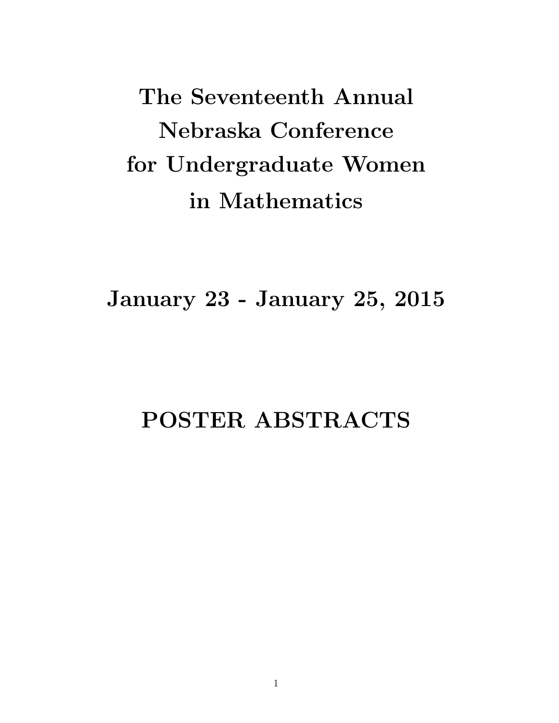The Seventeenth Annual Nebraska Conference for Undergraduate Women in Mathematics

January 23 - January 25, 2015

# POSTER ABSTRACTS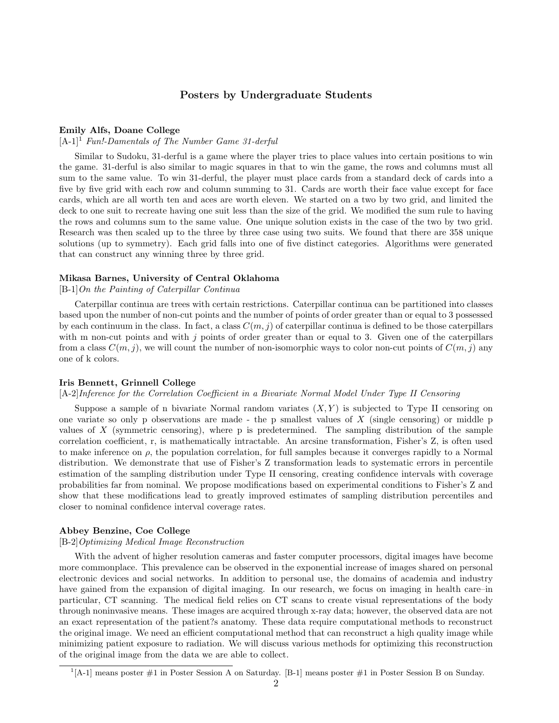# Posters by Undergraduate Students

#### Emily Alfs, Doane College

 $[A-1]^1$  Fun!-Damentals of The Number Game 31-derful

Similar to Sudoku, 31-derful is a game where the player tries to place values into certain positions to win the game. 31-derful is also similar to magic squares in that to win the game, the rows and columns must all sum to the same value. To win 31-derful, the player must place cards from a standard deck of cards into a five by five grid with each row and column summing to 31. Cards are worth their face value except for face cards, which are all worth ten and aces are worth eleven. We started on a two by two grid, and limited the deck to one suit to recreate having one suit less than the size of the grid. We modified the sum rule to having the rows and columns sum to the same value. One unique solution exists in the case of the two by two grid. Research was then scaled up to the three by three case using two suits. We found that there are 358 unique solutions (up to symmetry). Each grid falls into one of five distinct categories. Algorithms were generated that can construct any winning three by three grid.

#### Mikasa Barnes, University of Central Oklahoma

[B-1]On the Painting of Caterpillar Continua

Caterpillar continua are trees with certain restrictions. Caterpillar continua can be partitioned into classes based upon the number of non-cut points and the number of points of order greater than or equal to 3 possessed by each continuum in the class. In fact, a class  $C(m, j)$  of caterpillar continua is defined to be those caterpillars with m non-cut points and with j points of order greater than or equal to 3. Given one of the caterpillars from a class  $C(m, j)$ , we will count the number of non-isomorphic ways to color non-cut points of  $C(m, j)$  any one of k colors.

#### Iris Bennett, Grinnell College

#### [A-2]Inference for the Correlation Coefficient in a Bivariate Normal Model Under Type II Censoring

Suppose a sample of n bivariate Normal random variates  $(X, Y)$  is subjected to Type II censoring on one variate so only p observations are made - the p smallest values of  $X$  (single censoring) or middle p values of  $X$  (symmetric censoring), where  $p$  is predetermined. The sampling distribution of the sample correlation coefficient, r, is mathematically intractable. An arcsine transformation, Fisher's Z, is often used to make inference on  $\rho$ , the population correlation, for full samples because it converges rapidly to a Normal distribution. We demonstrate that use of Fisher's Z transformation leads to systematic errors in percentile estimation of the sampling distribution under Type II censoring, creating confidence intervals with coverage probabilities far from nominal. We propose modifications based on experimental conditions to Fisher's Z and show that these modifications lead to greatly improved estimates of sampling distribution percentiles and closer to nominal confidence interval coverage rates.

#### Abbey Benzine, Coe College

#### [B-2]Optimizing Medical Image Reconstruction

With the advent of higher resolution cameras and faster computer processors, digital images have become more commonplace. This prevalence can be observed in the exponential increase of images shared on personal electronic devices and social networks. In addition to personal use, the domains of academia and industry have gained from the expansion of digital imaging. In our research, we focus on imaging in health care–in particular, CT scanning. The medical field relies on CT scans to create visual representations of the body through noninvasive means. These images are acquired through x-ray data; however, the observed data are not an exact representation of the patient?s anatomy. These data require computational methods to reconstruct the original image. We need an efficient computational method that can reconstruct a high quality image while minimizing patient exposure to radiation. We will discuss various methods for optimizing this reconstruction of the original image from the data we are able to collect.

<sup>&</sup>lt;sup>1</sup>[A-1] means poster #1 in Poster Session A on Saturday. [B-1] means poster #1 in Poster Session B on Sunday.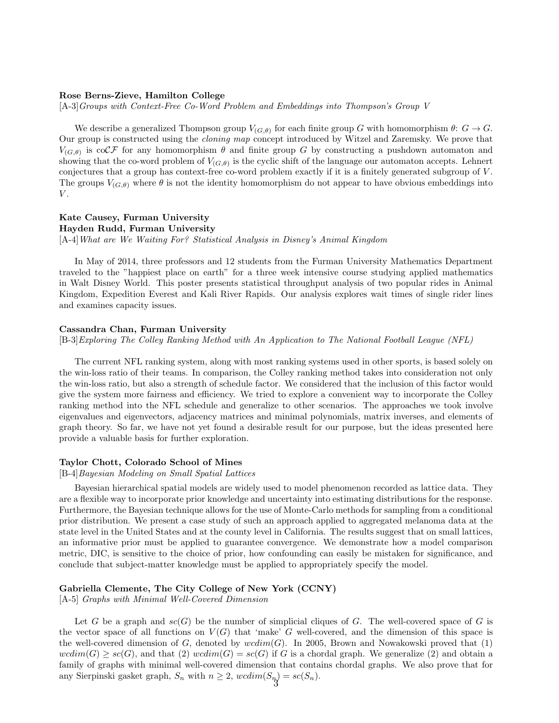#### Rose Berns-Zieve, Hamilton College

[A-3]Groups with Context-Free Co-Word Problem and Embeddings into Thompson's Group V

We describe a generalized Thompson group  $V_{(G,\theta)}$  for each finite group G with homomorphism  $\theta: G \to G$ . Our group is constructed using the *cloning map* concept introduced by Witzel and Zaremsky. We prove that  $V_{(G,\theta)}$  is coCF for any homomorphism  $\theta$  and finite group G by constructing a pushdown automaton and showing that the co-word problem of  $V_{(G,\theta)}$  is the cyclic shift of the language our automaton accepts. Lehnert conjectures that a group has context-free co-word problem exactly if it is a finitely generated subgroup of V . The groups  $V_{(G,\theta)}$  where  $\theta$  is not the identity homomorphism do not appear to have obvious embeddings into  $V$  .

# Kate Causey, Furman University Hayden Rudd, Furman University [A-4]What are We Waiting For? Statistical Analysis in Disney's Animal Kingdom

In May of 2014, three professors and 12 students from the Furman University Mathematics Department traveled to the "happiest place on earth" for a three week intensive course studying applied mathematics in Walt Disney World. This poster presents statistical throughput analysis of two popular rides in Animal Kingdom, Expedition Everest and Kali River Rapids. Our analysis explores wait times of single rider lines and examines capacity issues.

#### Cassandra Chan, Furman University

[B-3]Exploring The Colley Ranking Method with An Application to The National Football League (NFL)

The current NFL ranking system, along with most ranking systems used in other sports, is based solely on the win-loss ratio of their teams. In comparison, the Colley ranking method takes into consideration not only the win-loss ratio, but also a strength of schedule factor. We considered that the inclusion of this factor would give the system more fairness and efficiency. We tried to explore a convenient way to incorporate the Colley ranking method into the NFL schedule and generalize to other scenarios. The approaches we took involve eigenvalues and eigenvectors, adjacency matrices and minimal polynomials, matrix inverses, and elements of graph theory. So far, we have not yet found a desirable result for our purpose, but the ideas presented here provide a valuable basis for further exploration.

#### Taylor Chott, Colorado School of Mines

[B-4]Bayesian Modeling on Small Spatial Lattices

Bayesian hierarchical spatial models are widely used to model phenomenon recorded as lattice data. They are a flexible way to incorporate prior knowledge and uncertainty into estimating distributions for the response. Furthermore, the Bayesian technique allows for the use of Monte-Carlo methods for sampling from a conditional prior distribution. We present a case study of such an approach applied to aggregated melanoma data at the state level in the United States and at the county level in California. The results suggest that on small lattices, an informative prior must be applied to guarantee convergence. We demonstrate how a model comparison metric, DIC, is sensitive to the choice of prior, how confounding can easily be mistaken for significance, and conclude that subject-matter knowledge must be applied to appropriately specify the model.

#### Gabriella Clemente, The City College of New York (CCNY)

[A-5] Graphs with Minimal Well-Covered Dimension

Let G be a graph and  $sc(G)$  be the number of simplicial cliques of G. The well-covered space of G is the vector space of all functions on  $V(G)$  that 'make' G well-covered, and the dimension of this space is the well-covered dimension of G, denoted by  $wcdim(G)$ . In 2005, Brown and Nowakowski proved that (1)  $wcdim(G) \geq sc(G)$ , and that  $(2)$   $wcdim(G) = sc(G)$  if G is a chordal graph. We generalize (2) and obtain a family of graphs with minimal well-covered dimension that contains chordal graphs. We also prove that for any Sierpinski gasket graph,  $S_n$  with  $n \geq 2$ ,  $wcdim(S_n) = sc(S_n)$ .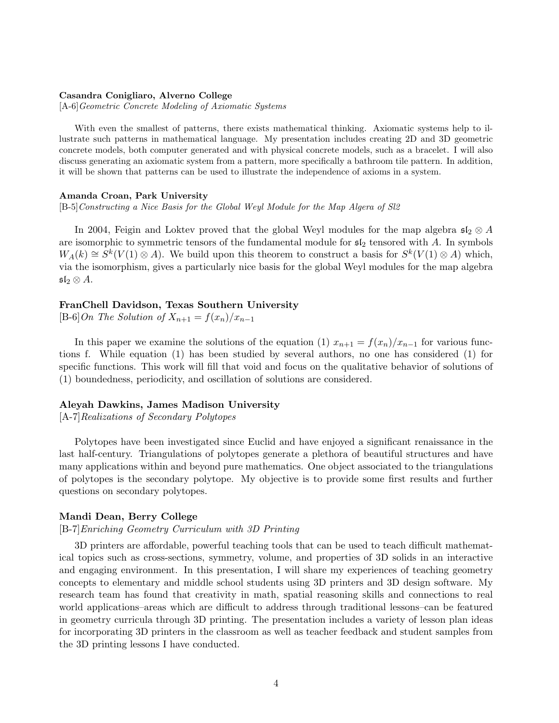## Casandra Conigliaro, Alverno College

[A-6]Geometric Concrete Modeling of Axiomatic Systems

With even the smallest of patterns, there exists mathematical thinking. Axiomatic systems help to illustrate such patterns in mathematical language. My presentation includes creating 2D and 3D geometric concrete models, both computer generated and with physical concrete models, such as a bracelet. I will also discuss generating an axiomatic system from a pattern, more specifically a bathroom tile pattern. In addition, it will be shown that patterns can be used to illustrate the independence of axioms in a system.

#### Amanda Croan, Park University

[B-5]Constructing a Nice Basis for the Global Weyl Module for the Map Algera of Sl2

In 2004, Feigin and Loktev proved that the global Weyl modules for the map algebra  $\mathfrak{sl}_2 \otimes A$ are isomorphic to symmetric tensors of the fundamental module for  $\mathfrak{sl}_2$  tensored with A. In symbols  $W_A(k) \cong S^k(V(1) \otimes A)$ . We build upon this theorem to construct a basis for  $S^k(V(1) \otimes A)$  which, via the isomorphism, gives a particularly nice basis for the global Weyl modules for the map algebra  $\mathfrak{sl}_2 \otimes A.$ 

# FranChell Davidson, Texas Southern University

[B-6]On The Solution of  $X_{n+1} = f(x_n)/x_{n-1}$ 

In this paper we examine the solutions of the equation (1)  $x_{n+1} = f(x_n)/x_{n-1}$  for various functions f. While equation (1) has been studied by several authors, no one has considered (1) for specific functions. This work will fill that void and focus on the qualitative behavior of solutions of (1) boundedness, periodicity, and oscillation of solutions are considered.

#### Aleyah Dawkins, James Madison University

[A-7]Realizations of Secondary Polytopes

Polytopes have been investigated since Euclid and have enjoyed a significant renaissance in the last half-century. Triangulations of polytopes generate a plethora of beautiful structures and have many applications within and beyond pure mathematics. One object associated to the triangulations of polytopes is the secondary polytope. My objective is to provide some first results and further questions on secondary polytopes.

# Mandi Dean, Berry College

# [B-7]Enriching Geometry Curriculum with 3D Printing

3D printers are affordable, powerful teaching tools that can be used to teach difficult mathematical topics such as cross-sections, symmetry, volume, and properties of 3D solids in an interactive and engaging environment. In this presentation, I will share my experiences of teaching geometry concepts to elementary and middle school students using 3D printers and 3D design software. My research team has found that creativity in math, spatial reasoning skills and connections to real world applications–areas which are difficult to address through traditional lessons–can be featured in geometry curricula through 3D printing. The presentation includes a variety of lesson plan ideas for incorporating 3D printers in the classroom as well as teacher feedback and student samples from the 3D printing lessons I have conducted.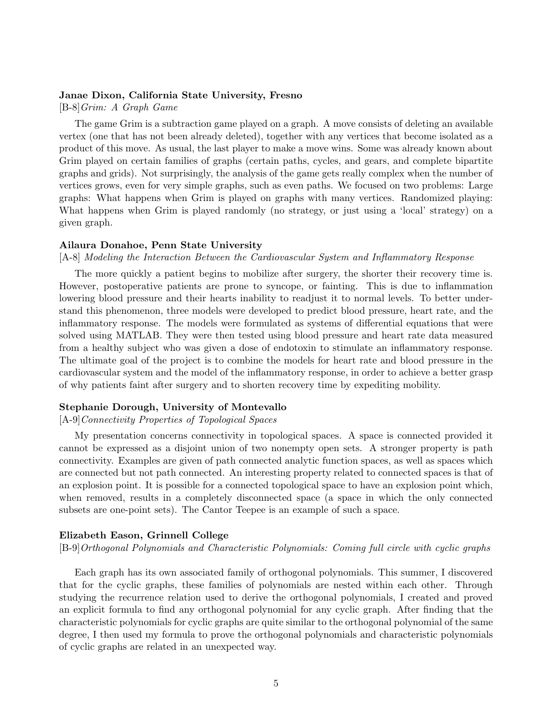# Janae Dixon, California State University, Fresno

[B-8]Grim: A Graph Game

The game Grim is a subtraction game played on a graph. A move consists of deleting an available vertex (one that has not been already deleted), together with any vertices that become isolated as a product of this move. As usual, the last player to make a move wins. Some was already known about Grim played on certain families of graphs (certain paths, cycles, and gears, and complete bipartite graphs and grids). Not surprisingly, the analysis of the game gets really complex when the number of vertices grows, even for very simple graphs, such as even paths. We focused on two problems: Large graphs: What happens when Grim is played on graphs with many vertices. Randomized playing: What happens when Grim is played randomly (no strategy, or just using a 'local' strategy) on a given graph.

# Ailaura Donahoe, Penn State University

# [A-8] Modeling the Interaction Between the Cardiovascular System and Inflammatory Response

The more quickly a patient begins to mobilize after surgery, the shorter their recovery time is. However, postoperative patients are prone to syncope, or fainting. This is due to inflammation lowering blood pressure and their hearts inability to readjust it to normal levels. To better understand this phenomenon, three models were developed to predict blood pressure, heart rate, and the inflammatory response. The models were formulated as systems of differential equations that were solved using MATLAB. They were then tested using blood pressure and heart rate data measured from a healthy subject who was given a dose of endotoxin to stimulate an inflammatory response. The ultimate goal of the project is to combine the models for heart rate and blood pressure in the cardiovascular system and the model of the inflammatory response, in order to achieve a better grasp of why patients faint after surgery and to shorten recovery time by expediting mobility.

# Stephanie Dorough, University of Montevallo

## [A-9]Connectivity Properties of Topological Spaces

My presentation concerns connectivity in topological spaces. A space is connected provided it cannot be expressed as a disjoint union of two nonempty open sets. A stronger property is path connectivity. Examples are given of path connected analytic function spaces, as well as spaces which are connected but not path connected. An interesting property related to connected spaces is that of an explosion point. It is possible for a connected topological space to have an explosion point which, when removed, results in a completely disconnected space (a space in which the only connected subsets are one-point sets). The Cantor Teepee is an example of such a space.

# Elizabeth Eason, Grinnell College

[B-9]Orthogonal Polynomials and Characteristic Polynomials: Coming full circle with cyclic graphs

Each graph has its own associated family of orthogonal polynomials. This summer, I discovered that for the cyclic graphs, these families of polynomials are nested within each other. Through studying the recurrence relation used to derive the orthogonal polynomials, I created and proved an explicit formula to find any orthogonal polynomial for any cyclic graph. After finding that the characteristic polynomials for cyclic graphs are quite similar to the orthogonal polynomial of the same degree, I then used my formula to prove the orthogonal polynomials and characteristic polynomials of cyclic graphs are related in an unexpected way.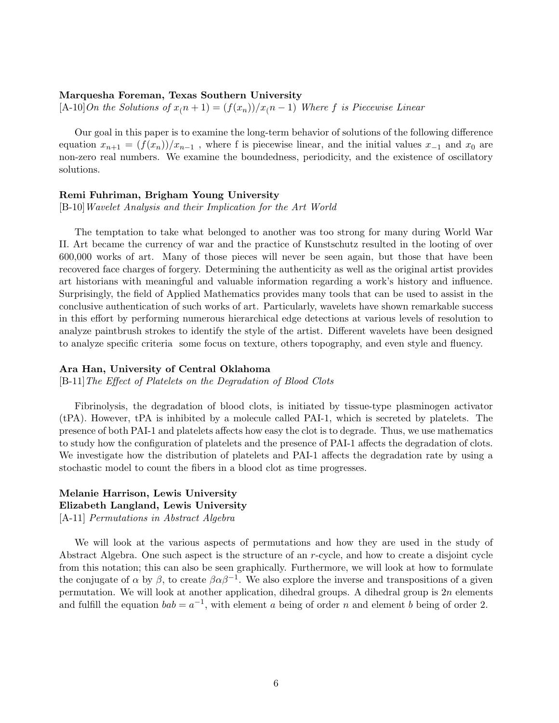## Marquesha Foreman, Texas Southern University

 $[A-10]$ On the Solutions of  $x(n + 1) = (f(x_n))/x(n - 1)$  Where f is Piecewise Linear

Our goal in this paper is to examine the long-term behavior of solutions of the following difference equation  $x_{n+1} = (f(x_n))/x_{n-1}$ , where f is piecewise linear, and the initial values  $x_{-1}$  and  $x_0$  are non-zero real numbers. We examine the boundedness, periodicity, and the existence of oscillatory solutions.

# Remi Fuhriman, Brigham Young University

[B-10]Wavelet Analysis and their Implication for the Art World

The temptation to take what belonged to another was too strong for many during World War II. Art became the currency of war and the practice of Kunstschutz resulted in the looting of over 600,000 works of art. Many of those pieces will never be seen again, but those that have been recovered face charges of forgery. Determining the authenticity as well as the original artist provides art historians with meaningful and valuable information regarding a work's history and influence. Surprisingly, the field of Applied Mathematics provides many tools that can be used to assist in the conclusive authentication of such works of art. Particularly, wavelets have shown remarkable success in this effort by performing numerous hierarchical edge detections at various levels of resolution to analyze paintbrush strokes to identify the style of the artist. Different wavelets have been designed to analyze specific criteria some focus on texture, others topography, and even style and fluency.

# Ara Han, University of Central Oklahoma

[B-11]The Effect of Platelets on the Degradation of Blood Clots

Fibrinolysis, the degradation of blood clots, is initiated by tissue-type plasminogen activator (tPA). However, tPA is inhibited by a molecule called PAI-1, which is secreted by platelets. The presence of both PAI-1 and platelets affects how easy the clot is to degrade. Thus, we use mathematics to study how the configuration of platelets and the presence of PAI-1 affects the degradation of clots. We investigate how the distribution of platelets and PAI-1 affects the degradation rate by using a stochastic model to count the fibers in a blood clot as time progresses.

# Melanie Harrison, Lewis University Elizabeth Langland, Lewis University [A-11] Permutations in Abstract Algebra

We will look at the various aspects of permutations and how they are used in the study of Abstract Algebra. One such aspect is the structure of an r-cycle, and how to create a disjoint cycle from this notation; this can also be seen graphically. Furthermore, we will look at how to formulate the conjugate of  $\alpha$  by  $\beta$ , to create  $\beta \alpha \beta^{-1}$ . We also explore the inverse and transpositions of a given permutation. We will look at another application, dihedral groups. A dihedral group is  $2n$  elements and fulfill the equation  $bab = a^{-1}$ , with element a being of order n and element b being of order 2.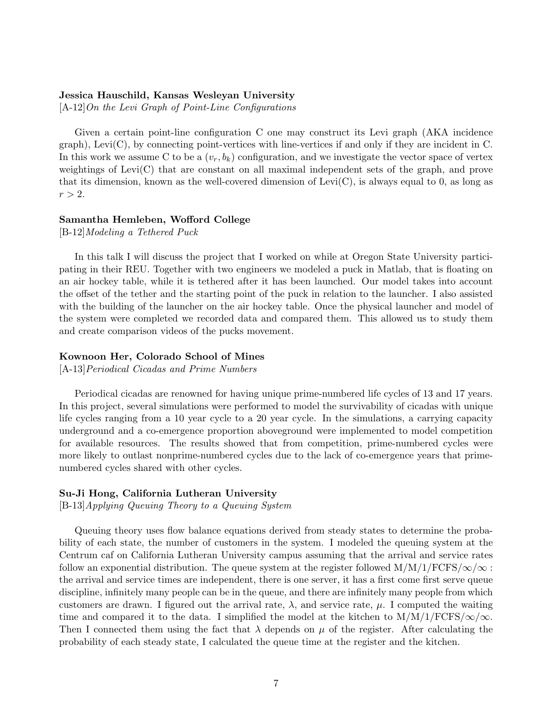# Jessica Hauschild, Kansas Wesleyan University

 $[A-12]$ On the Levi Graph of Point-Line Configurations

Given a certain point-line configuration C one may construct its Levi graph (AKA incidence  $graph$ ), Levi(C), by connecting point-vertices with line-vertices if and only if they are incident in C. In this work we assume C to be a  $(v_r, b_k)$  configuration, and we investigate the vector space of vertex weightings of Levi(C) that are constant on all maximal independent sets of the graph, and prove that its dimension, known as the well-covered dimension of  $Levi(C)$ , is always equal to 0, as long as  $r > 2$ .

# Samantha Hemleben, Wofford College

[B-12]Modeling a Tethered Puck

In this talk I will discuss the project that I worked on while at Oregon State University participating in their REU. Together with two engineers we modeled a puck in Matlab, that is floating on an air hockey table, while it is tethered after it has been launched. Our model takes into account the offset of the tether and the starting point of the puck in relation to the launcher. I also assisted with the building of the launcher on the air hockey table. Once the physical launcher and model of the system were completed we recorded data and compared them. This allowed us to study them and create comparison videos of the pucks movement.

# Kownoon Her, Colorado School of Mines

[A-13]Periodical Cicadas and Prime Numbers

Periodical cicadas are renowned for having unique prime-numbered life cycles of 13 and 17 years. In this project, several simulations were performed to model the survivability of cicadas with unique life cycles ranging from a 10 year cycle to a 20 year cycle. In the simulations, a carrying capacity underground and a co-emergence proportion aboveground were implemented to model competition for available resources. The results showed that from competition, prime-numbered cycles were more likely to outlast nonprime-numbered cycles due to the lack of co-emergence years that primenumbered cycles shared with other cycles.

# Su-Ji Hong, California Lutheran University

[B-13]Applying Queuing Theory to a Queuing System

Queuing theory uses flow balance equations derived from steady states to determine the probability of each state, the number of customers in the system. I modeled the queuing system at the Centrum caf on California Lutheran University campus assuming that the arrival and service rates follow an exponential distribution. The queue system at the register followed  $M/M/1/FCFS/\infty/\infty$ : the arrival and service times are independent, there is one server, it has a first come first serve queue discipline, infinitely many people can be in the queue, and there are infinitely many people from which customers are drawn. I figured out the arrival rate,  $\lambda$ , and service rate,  $\mu$ . I computed the waiting time and compared it to the data. I simplified the model at the kitchen to  $M/M/1/FCFS/\infty/\infty$ . Then I connected them using the fact that  $\lambda$  depends on  $\mu$  of the register. After calculating the probability of each steady state, I calculated the queue time at the register and the kitchen.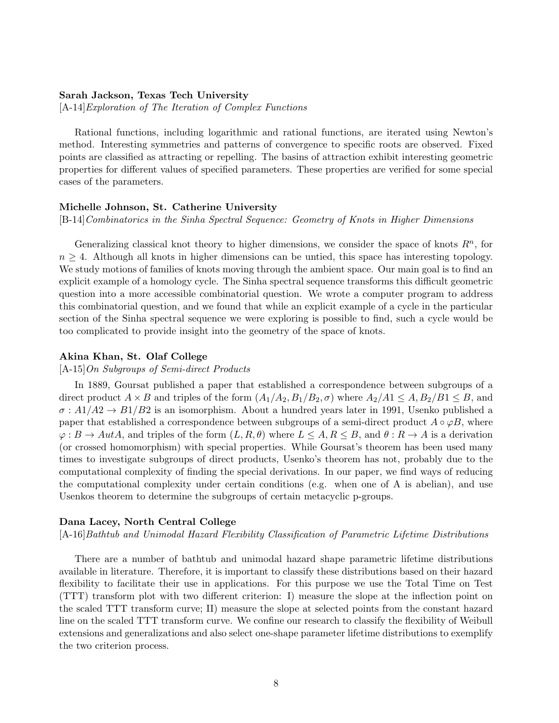# Sarah Jackson, Texas Tech University

[A-14]Exploration of The Iteration of Complex Functions

Rational functions, including logarithmic and rational functions, are iterated using Newton's method. Interesting symmetries and patterns of convergence to specific roots are observed. Fixed points are classified as attracting or repelling. The basins of attraction exhibit interesting geometric properties for different values of specified parameters. These properties are verified for some special cases of the parameters.

# Michelle Johnson, St. Catherine University

[B-14]Combinatorics in the Sinha Spectral Sequence: Geometry of Knots in Higher Dimensions

Generalizing classical knot theory to higher dimensions, we consider the space of knots  $R<sup>n</sup>$ , for  $n \geq 4$ . Although all knots in higher dimensions can be untied, this space has interesting topology. We study motions of families of knots moving through the ambient space. Our main goal is to find an explicit example of a homology cycle. The Sinha spectral sequence transforms this difficult geometric question into a more accessible combinatorial question. We wrote a computer program to address this combinatorial question, and we found that while an explicit example of a cycle in the particular section of the Sinha spectral sequence we were exploring is possible to find, such a cycle would be too complicated to provide insight into the geometry of the space of knots.

# Akina Khan, St. Olaf College

[A-15]On Subgroups of Semi-direct Products

In 1889, Goursat published a paper that established a correspondence between subgroups of a direct product  $A \times B$  and triples of the form  $(A_1/A_2, B_1/B_2, \sigma)$  where  $A_2/A_1 \le A, B_2/B_1 \le B$ , and  $\sigma: A1/A2 \rightarrow B1/B2$  is an isomorphism. About a hundred years later in 1991, Usenko published a paper that established a correspondence between subgroups of a semi-direct product  $A \circ \varphi B$ , where  $\varphi: B \to AutA$ , and triples of the form  $(L, R, \theta)$  where  $L \leq A, R \leq B$ , and  $\theta: R \to A$  is a derivation (or crossed homomorphism) with special properties. While Goursat's theorem has been used many times to investigate subgroups of direct products, Usenko's theorem has not, probably due to the computational complexity of finding the special derivations. In our paper, we find ways of reducing the computational complexity under certain conditions (e.g. when one of A is abelian), and use Usenkos theorem to determine the subgroups of certain metacyclic p-groups.

# Dana Lacey, North Central College

[A-16]Bathtub and Unimodal Hazard Flexibility Classification of Parametric Lifetime Distributions

There are a number of bathtub and unimodal hazard shape parametric lifetime distributions available in literature. Therefore, it is important to classify these distributions based on their hazard flexibility to facilitate their use in applications. For this purpose we use the Total Time on Test (TTT) transform plot with two different criterion: I) measure the slope at the inflection point on the scaled TTT transform curve; II) measure the slope at selected points from the constant hazard line on the scaled TTT transform curve. We confine our research to classify the flexibility of Weibull extensions and generalizations and also select one-shape parameter lifetime distributions to exemplify the two criterion process.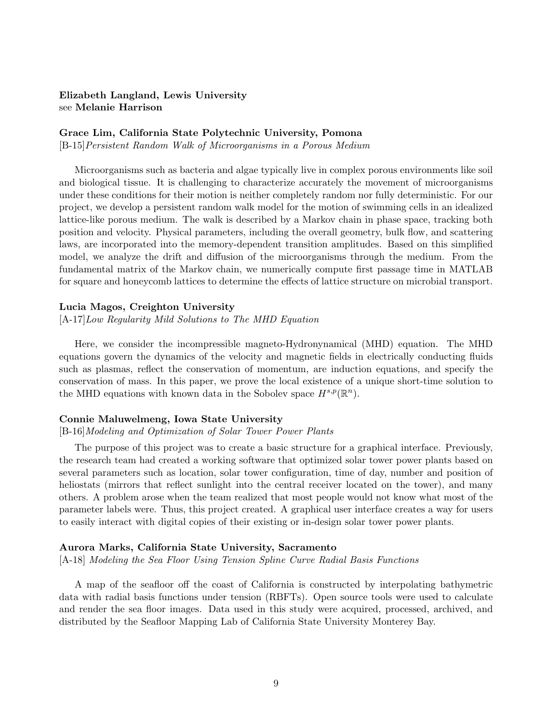# Elizabeth Langland, Lewis University see Melanie Harrison

# Grace Lim, California State Polytechnic University, Pomona

[B-15]Persistent Random Walk of Microorganisms in a Porous Medium

Microorganisms such as bacteria and algae typically live in complex porous environments like soil and biological tissue. It is challenging to characterize accurately the movement of microorganisms under these conditions for their motion is neither completely random nor fully deterministic. For our project, we develop a persistent random walk model for the motion of swimming cells in an idealized lattice-like porous medium. The walk is described by a Markov chain in phase space, tracking both position and velocity. Physical parameters, including the overall geometry, bulk flow, and scattering laws, are incorporated into the memory-dependent transition amplitudes. Based on this simplified model, we analyze the drift and diffusion of the microorganisms through the medium. From the fundamental matrix of the Markov chain, we numerically compute first passage time in MATLAB for square and honeycomb lattices to determine the effects of lattice structure on microbial transport.

# Lucia Magos, Creighton University

[A-17]Low Regularity Mild Solutions to The MHD Equation

Here, we consider the incompressible magneto-Hydronynamical (MHD) equation. The MHD equations govern the dynamics of the velocity and magnetic fields in electrically conducting fluids such as plasmas, reflect the conservation of momentum, are induction equations, and specify the conservation of mass. In this paper, we prove the local existence of a unique short-time solution to the MHD equations with known data in the Sobolev space  $H^{s,p}(\mathbb{R}^n)$ .

# Connie Maluwelmeng, Iowa State University

# [B-16]Modeling and Optimization of Solar Tower Power Plants

The purpose of this project was to create a basic structure for a graphical interface. Previously, the research team had created a working software that optimized solar tower power plants based on several parameters such as location, solar tower configuration, time of day, number and position of heliostats (mirrors that reflect sunlight into the central receiver located on the tower), and many others. A problem arose when the team realized that most people would not know what most of the parameter labels were. Thus, this project created. A graphical user interface creates a way for users to easily interact with digital copies of their existing or in-design solar tower power plants.

# Aurora Marks, California State University, Sacramento

[A-18] Modeling the Sea Floor Using Tension Spline Curve Radial Basis Functions

A map of the seafloor off the coast of California is constructed by interpolating bathymetric data with radial basis functions under tension (RBFTs). Open source tools were used to calculate and render the sea floor images. Data used in this study were acquired, processed, archived, and distributed by the Seafloor Mapping Lab of California State University Monterey Bay.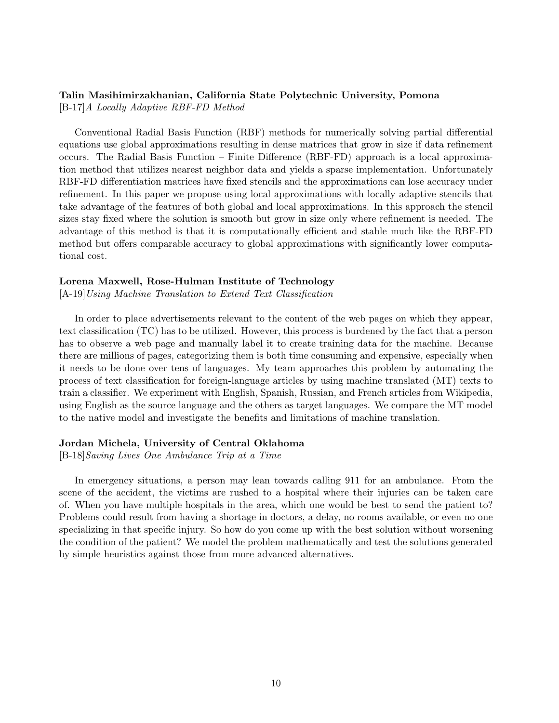# Talin Masihimirzakhanian, California State Polytechnic University, Pomona

[B-17]A Locally Adaptive RBF-FD Method

Conventional Radial Basis Function (RBF) methods for numerically solving partial differential equations use global approximations resulting in dense matrices that grow in size if data refinement occurs. The Radial Basis Function – Finite Difference (RBF-FD) approach is a local approximation method that utilizes nearest neighbor data and yields a sparse implementation. Unfortunately RBF-FD differentiation matrices have fixed stencils and the approximations can lose accuracy under refinement. In this paper we propose using local approximations with locally adaptive stencils that take advantage of the features of both global and local approximations. In this approach the stencil sizes stay fixed where the solution is smooth but grow in size only where refinement is needed. The advantage of this method is that it is computationally efficient and stable much like the RBF-FD method but offers comparable accuracy to global approximations with significantly lower computational cost.

# Lorena Maxwell, Rose-Hulman Institute of Technology

[A-19]Using Machine Translation to Extend Text Classification

In order to place advertisements relevant to the content of the web pages on which they appear, text classification (TC) has to be utilized. However, this process is burdened by the fact that a person has to observe a web page and manually label it to create training data for the machine. Because there are millions of pages, categorizing them is both time consuming and expensive, especially when it needs to be done over tens of languages. My team approaches this problem by automating the process of text classification for foreign-language articles by using machine translated (MT) texts to train a classifier. We experiment with English, Spanish, Russian, and French articles from Wikipedia, using English as the source language and the others as target languages. We compare the MT model to the native model and investigate the benefits and limitations of machine translation.

# Jordan Michela, University of Central Oklahoma

[B-18]Saving Lives One Ambulance Trip at a Time

In emergency situations, a person may lean towards calling 911 for an ambulance. From the scene of the accident, the victims are rushed to a hospital where their injuries can be taken care of. When you have multiple hospitals in the area, which one would be best to send the patient to? Problems could result from having a shortage in doctors, a delay, no rooms available, or even no one specializing in that specific injury. So how do you come up with the best solution without worsening the condition of the patient? We model the problem mathematically and test the solutions generated by simple heuristics against those from more advanced alternatives.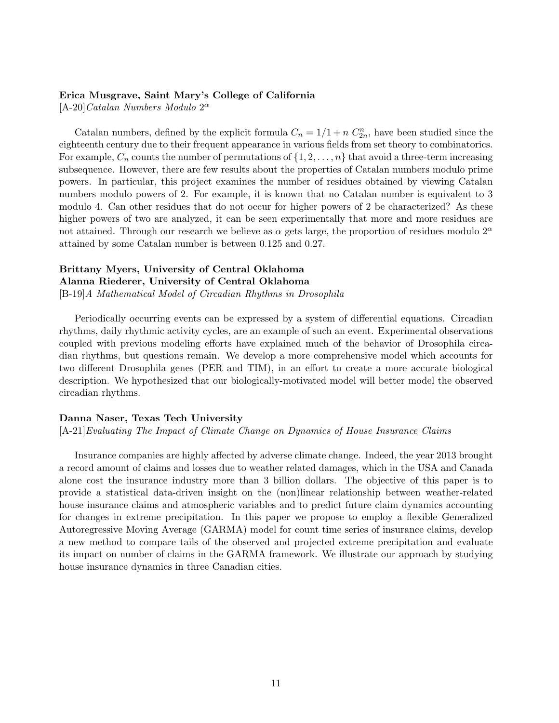# Erica Musgrave, Saint Mary's College of California

[A-20] Catalan Numbers Modulo  $2^{\alpha}$ 

Catalan numbers, defined by the explicit formula  $C_n = 1/1 + n C_{2n}^n$ , have been studied since the eighteenth century due to their frequent appearance in various fields from set theory to combinatorics. For example,  $C_n$  counts the number of permutations of  $\{1, 2, \ldots, n\}$  that avoid a three-term increasing subsequence. However, there are few results about the properties of Catalan numbers modulo prime powers. In particular, this project examines the number of residues obtained by viewing Catalan numbers modulo powers of 2. For example, it is known that no Catalan number is equivalent to 3 modulo 4. Can other residues that do not occur for higher powers of 2 be characterized? As these higher powers of two are analyzed, it can be seen experimentally that more and more residues are not attained. Through our research we believe as  $\alpha$  gets large, the proportion of residues modulo  $2^{\alpha}$ attained by some Catalan number is between 0.125 and 0.27.

# Brittany Myers, University of Central Oklahoma Alanna Riederer, University of Central Oklahoma [B-19]A Mathematical Model of Circadian Rhythms in Drosophila

Periodically occurring events can be expressed by a system of differential equations. Circadian rhythms, daily rhythmic activity cycles, are an example of such an event. Experimental observations coupled with previous modeling efforts have explained much of the behavior of Drosophila circadian rhythms, but questions remain. We develop a more comprehensive model which accounts for two different Drosophila genes (PER and TIM), in an effort to create a more accurate biological description. We hypothesized that our biologically-motivated model will better model the observed circadian rhythms.

# Danna Naser, Texas Tech University

[A-21]Evaluating The Impact of Climate Change on Dynamics of House Insurance Claims

Insurance companies are highly affected by adverse climate change. Indeed, the year 2013 brought a record amount of claims and losses due to weather related damages, which in the USA and Canada alone cost the insurance industry more than 3 billion dollars. The objective of this paper is to provide a statistical data-driven insight on the (non)linear relationship between weather-related house insurance claims and atmospheric variables and to predict future claim dynamics accounting for changes in extreme precipitation. In this paper we propose to employ a flexible Generalized Autoregressive Moving Average (GARMA) model for count time series of insurance claims, develop a new method to compare tails of the observed and projected extreme precipitation and evaluate its impact on number of claims in the GARMA framework. We illustrate our approach by studying house insurance dynamics in three Canadian cities.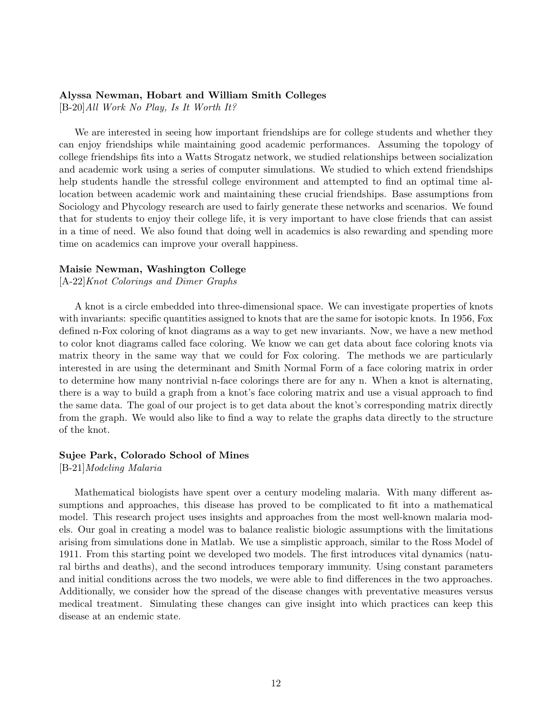# Alyssa Newman, Hobart and William Smith Colleges

[B-20]All Work No Play, Is It Worth It?

We are interested in seeing how important friendships are for college students and whether they can enjoy friendships while maintaining good academic performances. Assuming the topology of college friendships fits into a Watts Strogatz network, we studied relationships between socialization and academic work using a series of computer simulations. We studied to which extend friendships help students handle the stressful college environment and attempted to find an optimal time allocation between academic work and maintaining these crucial friendships. Base assumptions from Sociology and Phycology research are used to fairly generate these networks and scenarios. We found that for students to enjoy their college life, it is very important to have close friends that can assist in a time of need. We also found that doing well in academics is also rewarding and spending more time on academics can improve your overall happiness.

# Maisie Newman, Washington College

[A-22]Knot Colorings and Dimer Graphs

A knot is a circle embedded into three-dimensional space. We can investigate properties of knots with invariants: specific quantities assigned to knots that are the same for isotopic knots. In 1956, Fox defined n-Fox coloring of knot diagrams as a way to get new invariants. Now, we have a new method to color knot diagrams called face coloring. We know we can get data about face coloring knots via matrix theory in the same way that we could for Fox coloring. The methods we are particularly interested in are using the determinant and Smith Normal Form of a face coloring matrix in order to determine how many nontrivial n-face colorings there are for any n. When a knot is alternating, there is a way to build a graph from a knot's face coloring matrix and use a visual approach to find the same data. The goal of our project is to get data about the knot's corresponding matrix directly from the graph. We would also like to find a way to relate the graphs data directly to the structure of the knot.

# Sujee Park, Colorado School of Mines

[B-21]Modeling Malaria

Mathematical biologists have spent over a century modeling malaria. With many different assumptions and approaches, this disease has proved to be complicated to fit into a mathematical model. This research project uses insights and approaches from the most well-known malaria models. Our goal in creating a model was to balance realistic biologic assumptions with the limitations arising from simulations done in Matlab. We use a simplistic approach, similar to the Ross Model of 1911. From this starting point we developed two models. The first introduces vital dynamics (natural births and deaths), and the second introduces temporary immunity. Using constant parameters and initial conditions across the two models, we were able to find differences in the two approaches. Additionally, we consider how the spread of the disease changes with preventative measures versus medical treatment. Simulating these changes can give insight into which practices can keep this disease at an endemic state.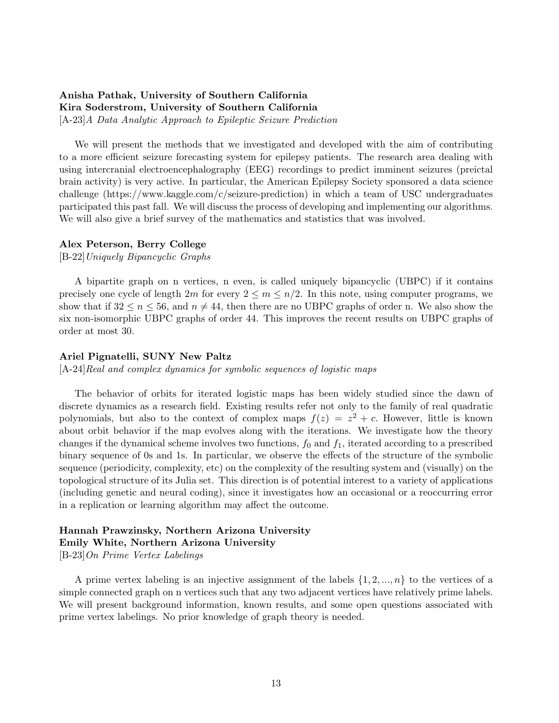# Anisha Pathak, University of Southern California Kira Soderstrom, University of Southern California

[A-23]A Data Analytic Approach to Epileptic Seizure Prediction

We will present the methods that we investigated and developed with the aim of contributing to a more efficient seizure forecasting system for epilepsy patients. The research area dealing with using intercranial electroencephalography (EEG) recordings to predict imminent seizures (preictal brain activity) is very active. In particular, the American Epilepsy Society sponsored a data science challenge (https://www.kaggle.com/c/seizure-prediction) in which a team of USC undergraduates participated this past fall. We will discuss the process of developing and implementing our algorithms. We will also give a brief survey of the mathematics and statistics that was involved.

# Alex Peterson, Berry College

[B-22]Uniquely Bipancyclic Graphs

A bipartite graph on n vertices, n even, is called uniquely bipancyclic (UBPC) if it contains precisely one cycle of length  $2m$  for every  $2 \le m \le n/2$ . In this note, using computer programs, we show that if  $32 \le n \le 56$ , and  $n \ne 44$ , then there are no UBPC graphs of order n. We also show the six non-isomorphic UBPC graphs of order 44. This improves the recent results on UBPC graphs of order at most 30.

# Ariel Pignatelli, SUNY New Paltz

[A-24]Real and complex dynamics for symbolic sequences of logistic maps

The behavior of orbits for iterated logistic maps has been widely studied since the dawn of discrete dynamics as a research field. Existing results refer not only to the family of real quadratic polynomials, but also to the context of complex maps  $f(z) = z^2 + c$ . However, little is known about orbit behavior if the map evolves along with the iterations. We investigate how the theory changes if the dynamical scheme involves two functions,  $f_0$  and  $f_1$ , iterated according to a prescribed binary sequence of 0s and 1s. In particular, we observe the effects of the structure of the symbolic sequence (periodicity, complexity, etc) on the complexity of the resulting system and (visually) on the topological structure of its Julia set. This direction is of potential interest to a variety of applications (including genetic and neural coding), since it investigates how an occasional or a reoccurring error in a replication or learning algorithm may affect the outcome.

# Hannah Prawzinsky, Northern Arizona University Emily White, Northern Arizona University

[B-23]On Prime Vertex Labelings

A prime vertex labeling is an injective assignment of the labels  $\{1, 2, ..., n\}$  to the vertices of a simple connected graph on n vertices such that any two adjacent vertices have relatively prime labels. We will present background information, known results, and some open questions associated with prime vertex labelings. No prior knowledge of graph theory is needed.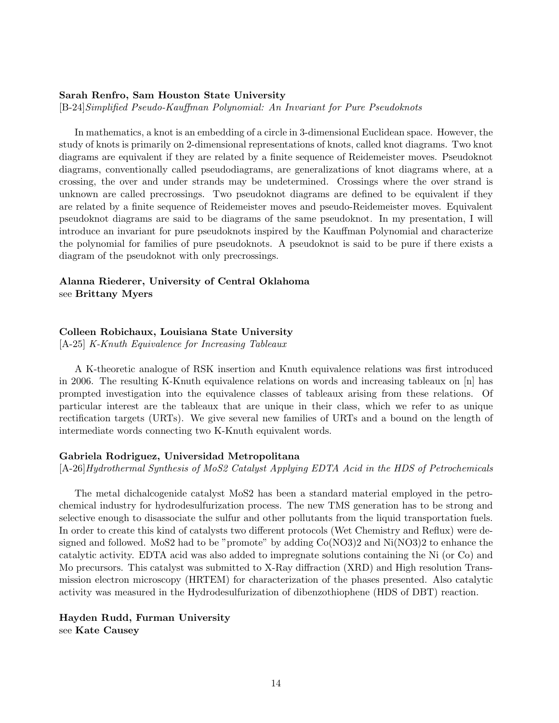# Sarah Renfro, Sam Houston State University

[B-24]Simplified Pseudo-Kauffman Polynomial: An Invariant for Pure Pseudoknots

In mathematics, a knot is an embedding of a circle in 3-dimensional Euclidean space. However, the study of knots is primarily on 2-dimensional representations of knots, called knot diagrams. Two knot diagrams are equivalent if they are related by a finite sequence of Reidemeister moves. Pseudoknot diagrams, conventionally called pseudodiagrams, are generalizations of knot diagrams where, at a crossing, the over and under strands may be undetermined. Crossings where the over strand is unknown are called precrossings. Two pseudoknot diagrams are defined to be equivalent if they are related by a finite sequence of Reidemeister moves and pseudo-Reidemeister moves. Equivalent pseudoknot diagrams are said to be diagrams of the same pseudoknot. In my presentation, I will introduce an invariant for pure pseudoknots inspired by the Kauffman Polynomial and characterize the polynomial for families of pure pseudoknots. A pseudoknot is said to be pure if there exists a diagram of the pseudoknot with only precrossings.

# Alanna Riederer, University of Central Oklahoma see Brittany Myers

# Colleen Robichaux, Louisiana State University

[A-25] K-Knuth Equivalence for Increasing Tableaux

A K-theoretic analogue of RSK insertion and Knuth equivalence relations was first introduced in 2006. The resulting K-Knuth equivalence relations on words and increasing tableaux on [n] has prompted investigation into the equivalence classes of tableaux arising from these relations. Of particular interest are the tableaux that are unique in their class, which we refer to as unique rectification targets (URTs). We give several new families of URTs and a bound on the length of intermediate words connecting two K-Knuth equivalent words.

# Gabriela Rodriguez, Universidad Metropolitana

[A-26]Hydrothermal Synthesis of MoS2 Catalyst Applying EDTA Acid in the HDS of Petrochemicals

The metal dichalcogenide catalyst MoS2 has been a standard material employed in the petrochemical industry for hydrodesulfurization process. The new TMS generation has to be strong and selective enough to disassociate the sulfur and other pollutants from the liquid transportation fuels. In order to create this kind of catalysts two different protocols (Wet Chemistry and Reflux) were designed and followed. MoS2 had to be "promote" by adding Co(NO3)2 and Ni(NO3)2 to enhance the catalytic activity. EDTA acid was also added to impregnate solutions containing the Ni (or Co) and Mo precursors. This catalyst was submitted to X-Ray diffraction (XRD) and High resolution Transmission electron microscopy (HRTEM) for characterization of the phases presented. Also catalytic activity was measured in the Hydrodesulfurization of dibenzothiophene (HDS of DBT) reaction.

Hayden Rudd, Furman University see Kate Causey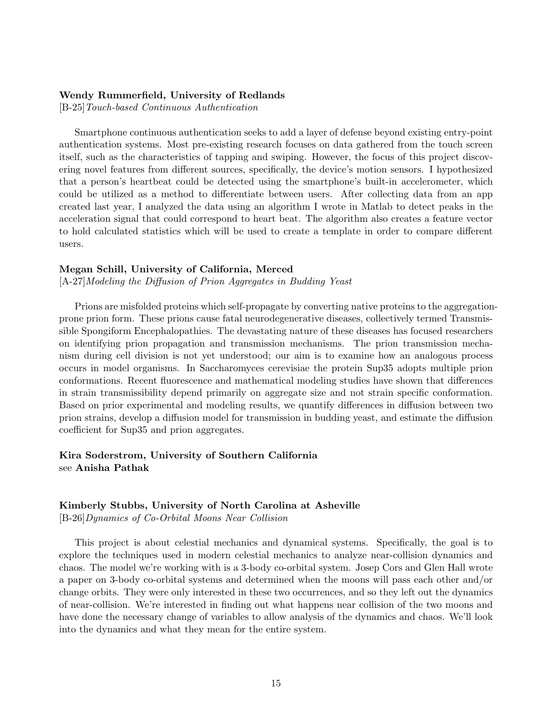# Wendy Rummerfield, University of Redlands

[B-25]Touch-based Continuous Authentication

Smartphone continuous authentication seeks to add a layer of defense beyond existing entry-point authentication systems. Most pre-existing research focuses on data gathered from the touch screen itself, such as the characteristics of tapping and swiping. However, the focus of this project discovering novel features from different sources, specifically, the device's motion sensors. I hypothesized that a person's heartbeat could be detected using the smartphone's built-in accelerometer, which could be utilized as a method to differentiate between users. After collecting data from an app created last year, I analyzed the data using an algorithm I wrote in Matlab to detect peaks in the acceleration signal that could correspond to heart beat. The algorithm also creates a feature vector to hold calculated statistics which will be used to create a template in order to compare different users.

# Megan Schill, University of California, Merced

[A-27]Modeling the Diffusion of Prion Aggregates in Budding Yeast

Prions are misfolded proteins which self-propagate by converting native proteins to the aggregationprone prion form. These prions cause fatal neurodegenerative diseases, collectively termed Transmissible Spongiform Encephalopathies. The devastating nature of these diseases has focused researchers on identifying prion propagation and transmission mechanisms. The prion transmission mechanism during cell division is not yet understood; our aim is to examine how an analogous process occurs in model organisms. In Saccharomyces cerevisiae the protein Sup35 adopts multiple prion conformations. Recent fluorescence and mathematical modeling studies have shown that differences in strain transmissibility depend primarily on aggregate size and not strain specific conformation. Based on prior experimental and modeling results, we quantify differences in diffusion between two prion strains, develop a diffusion model for transmission in budding yeast, and estimate the diffusion coefficient for Sup35 and prion aggregates.

# Kira Soderstrom, University of Southern California see Anisha Pathak

# Kimberly Stubbs, University of North Carolina at Asheville

[B-26]Dynamics of Co-Orbital Moons Near Collision

This project is about celestial mechanics and dynamical systems. Specifically, the goal is to explore the techniques used in modern celestial mechanics to analyze near-collision dynamics and chaos. The model we're working with is a 3-body co-orbital system. Josep Cors and Glen Hall wrote a paper on 3-body co-orbital systems and determined when the moons will pass each other and/or change orbits. They were only interested in these two occurrences, and so they left out the dynamics of near-collision. We're interested in finding out what happens near collision of the two moons and have done the necessary change of variables to allow analysis of the dynamics and chaos. We'll look into the dynamics and what they mean for the entire system.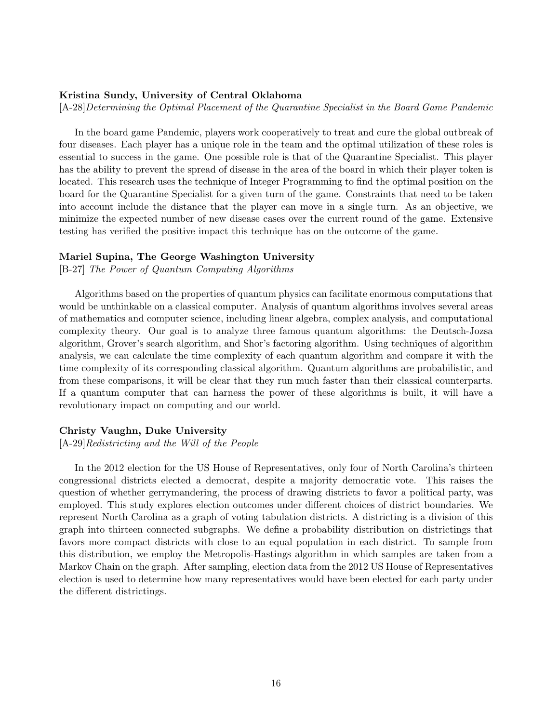# Kristina Sundy, University of Central Oklahoma

[A-28]Determining the Optimal Placement of the Quarantine Specialist in the Board Game Pandemic

In the board game Pandemic, players work cooperatively to treat and cure the global outbreak of four diseases. Each player has a unique role in the team and the optimal utilization of these roles is essential to success in the game. One possible role is that of the Quarantine Specialist. This player has the ability to prevent the spread of disease in the area of the board in which their player token is located. This research uses the technique of Integer Programming to find the optimal position on the board for the Quarantine Specialist for a given turn of the game. Constraints that need to be taken into account include the distance that the player can move in a single turn. As an objective, we minimize the expected number of new disease cases over the current round of the game. Extensive testing has verified the positive impact this technique has on the outcome of the game.

## Mariel Supina, The George Washington University

[B-27] The Power of Quantum Computing Algorithms

Algorithms based on the properties of quantum physics can facilitate enormous computations that would be unthinkable on a classical computer. Analysis of quantum algorithms involves several areas of mathematics and computer science, including linear algebra, complex analysis, and computational complexity theory. Our goal is to analyze three famous quantum algorithms: the Deutsch-Jozsa algorithm, Grover's search algorithm, and Shor's factoring algorithm. Using techniques of algorithm analysis, we can calculate the time complexity of each quantum algorithm and compare it with the time complexity of its corresponding classical algorithm. Quantum algorithms are probabilistic, and from these comparisons, it will be clear that they run much faster than their classical counterparts. If a quantum computer that can harness the power of these algorithms is built, it will have a revolutionary impact on computing and our world.

# Christy Vaughn, Duke University

[A-29]Redistricting and the Will of the People

In the 2012 election for the US House of Representatives, only four of North Carolina's thirteen congressional districts elected a democrat, despite a majority democratic vote. This raises the question of whether gerrymandering, the process of drawing districts to favor a political party, was employed. This study explores election outcomes under different choices of district boundaries. We represent North Carolina as a graph of voting tabulation districts. A districting is a division of this graph into thirteen connected subgraphs. We define a probability distribution on districtings that favors more compact districts with close to an equal population in each district. To sample from this distribution, we employ the Metropolis-Hastings algorithm in which samples are taken from a Markov Chain on the graph. After sampling, election data from the 2012 US House of Representatives election is used to determine how many representatives would have been elected for each party under the different districtings.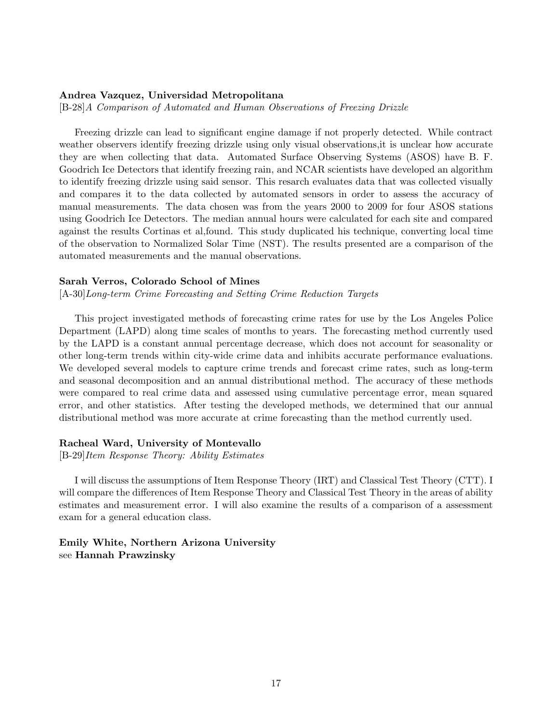# Andrea Vazquez, Universidad Metropolitana

[B-28]A Comparison of Automated and Human Observations of Freezing Drizzle

Freezing drizzle can lead to significant engine damage if not properly detected. While contract weather observers identify freezing drizzle using only visual observations,it is unclear how accurate they are when collecting that data. Automated Surface Observing Systems (ASOS) have B. F. Goodrich Ice Detectors that identify freezing rain, and NCAR scientists have developed an algorithm to identify freezing drizzle using said sensor. This resarch evaluates data that was collected visually and compares it to the data collected by automated sensors in order to assess the accuracy of manual measurements. The data chosen was from the years 2000 to 2009 for four ASOS stations using Goodrich Ice Detectors. The median annual hours were calculated for each site and compared against the results Cortinas et al,found. This study duplicated his technique, converting local time of the observation to Normalized Solar Time (NST). The results presented are a comparison of the automated measurements and the manual observations.

# Sarah Verros, Colorado School of Mines

[A-30]Long-term Crime Forecasting and Setting Crime Reduction Targets

This project investigated methods of forecasting crime rates for use by the Los Angeles Police Department (LAPD) along time scales of months to years. The forecasting method currently used by the LAPD is a constant annual percentage decrease, which does not account for seasonality or other long-term trends within city-wide crime data and inhibits accurate performance evaluations. We developed several models to capture crime trends and forecast crime rates, such as long-term and seasonal decomposition and an annual distributional method. The accuracy of these methods were compared to real crime data and assessed using cumulative percentage error, mean squared error, and other statistics. After testing the developed methods, we determined that our annual distributional method was more accurate at crime forecasting than the method currently used.

#### Racheal Ward, University of Montevallo

[B-29]Item Response Theory: Ability Estimates

I will discuss the assumptions of Item Response Theory (IRT) and Classical Test Theory (CTT). I will compare the differences of Item Response Theory and Classical Test Theory in the areas of ability estimates and measurement error. I will also examine the results of a comparison of a assessment exam for a general education class.

Emily White, Northern Arizona University see Hannah Prawzinsky